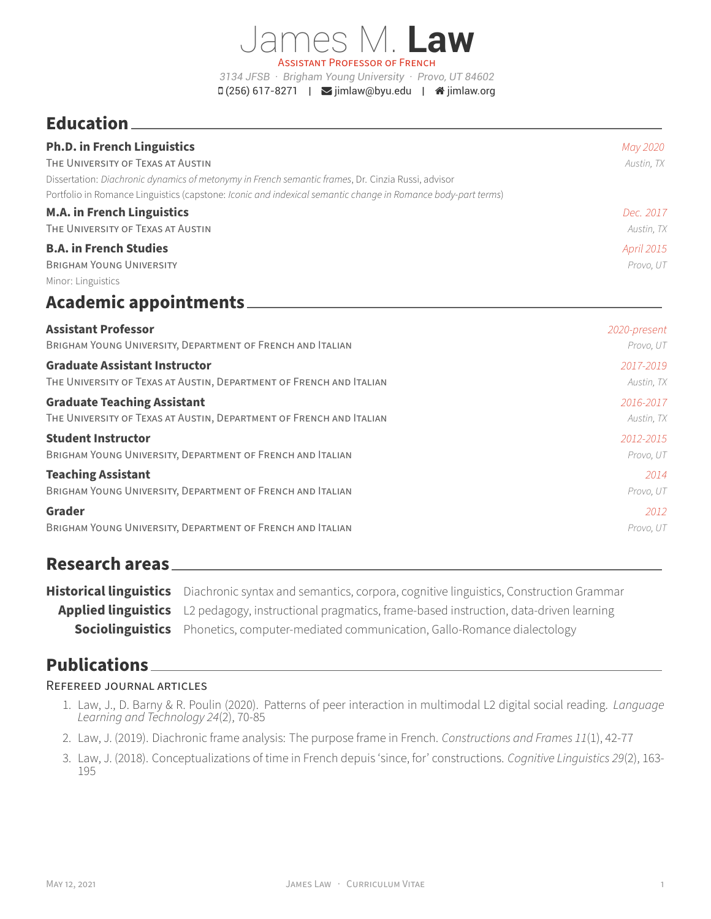James M. **Law** ASSiSTANT PROFESSOR OF FRENCH *3134 JFSB · Brigham Young University · Provo, UT 84602*  $\Box$  (256) 617-8271 |  $\Box$  [jimlaw@byu.edu](mailto:jimlaw@byu.edu) |  $\triangle$  [jimlaw.org](http://jimlaw.org)

# **Education**

| <b>Ph.D. in French Linguistics</b>                                                                           | May 2020     |
|--------------------------------------------------------------------------------------------------------------|--------------|
| THE UNIVERSITY OF TEXAS AT AUSTIN                                                                            | Austin, TX   |
| Dissertation: Diachronic dynamics of metonymy in French semantic frames, Dr. Cinzia Russi, advisor           |              |
| Portfolio in Romance Linguistics (capstone: Iconic and indexical semantic change in Romance body-part terms) |              |
| <b>M.A. in French Linguistics</b>                                                                            | Dec. 2017    |
| THE UNIVERSITY OF TEXAS AT AUSTIN                                                                            | Austin, TX   |
| <b>B.A. in French Studies</b>                                                                                | April 2015   |
| <b>BRIGHAM YOUNG UNIVERSITY</b>                                                                              | Provo, UT    |
| Minor: Linguistics                                                                                           |              |
| <b>Academic appointments</b>                                                                                 |              |
| <b>Assistant Professor</b>                                                                                   | 2020-present |
| BRIGHAM YOUNG UNIVERSITY, DEPARTMENT OF FRENCH AND ITALIAN                                                   | Provo, UT    |
| <b>Graduate Assistant Instructor</b>                                                                         | 2017-2019    |
| THE UNIVERSITY OF TEXAS AT AUSTIN, DEPARTMENT OF FRENCH AND ITALIAN                                          | Austin, TX   |
| <b>Graduate Teaching Assistant</b>                                                                           | 2016-2017    |
| THE UNIVERSITY OF TEXAS AT AUSTIN, DEPARTMENT OF FRENCH AND ITALIAN                                          | Austin, TX   |
| <b>Student Instructor</b>                                                                                    | 2012-2015    |
| BRIGHAM YOUNG UNIVERSITY, DEPARTMENT OF FRENCH AND ITALIAN                                                   | Provo, UT    |
| <b>Teaching Assistant</b>                                                                                    | 2014         |
| BRIGHAM YOUNG UNIVERSITY, DEPARTMENT OF FRENCH AND ITALIAN                                                   | Provo, UT    |
| Grader                                                                                                       | 2012         |
| BRIGHAM YOUNG UNIVERSITY, DEPARTMENT OF FRENCH AND ITALIAN                                                   | Provo, UT    |

## **Research areas**

| Historical linguistics Diachronic syntax and semantics, corpora, cognitive linguistics, Construction Grammar |
|--------------------------------------------------------------------------------------------------------------|
| Applied linguistics L2 pedagogy, instructional pragmatics, frame-based instruction, data-driven learning     |
| <b>Sociolinguistics</b> Phonetics, computer-mediated communication, Gallo-Romance dialectology               |

## **Publications**

### REFEREED JOURNAL ARTiCLES

- 1. Law, J., D. Barny & R. Poulin (2020). Patterns of peer interaction in multimodal L2 digital social reading. *Language Learning and Technology 24*(2), 70‑85
- 2. Law, J. (2019). Diachronic frame analysis: The purpose frame in French. *Constructions and Frames 11*(1), 42‑77
- 3. Law, J. (2018). Conceptualizations of time in French depuis 'since, for' constructions. *Cognitive Linguistics 29*(2), 163‑ 195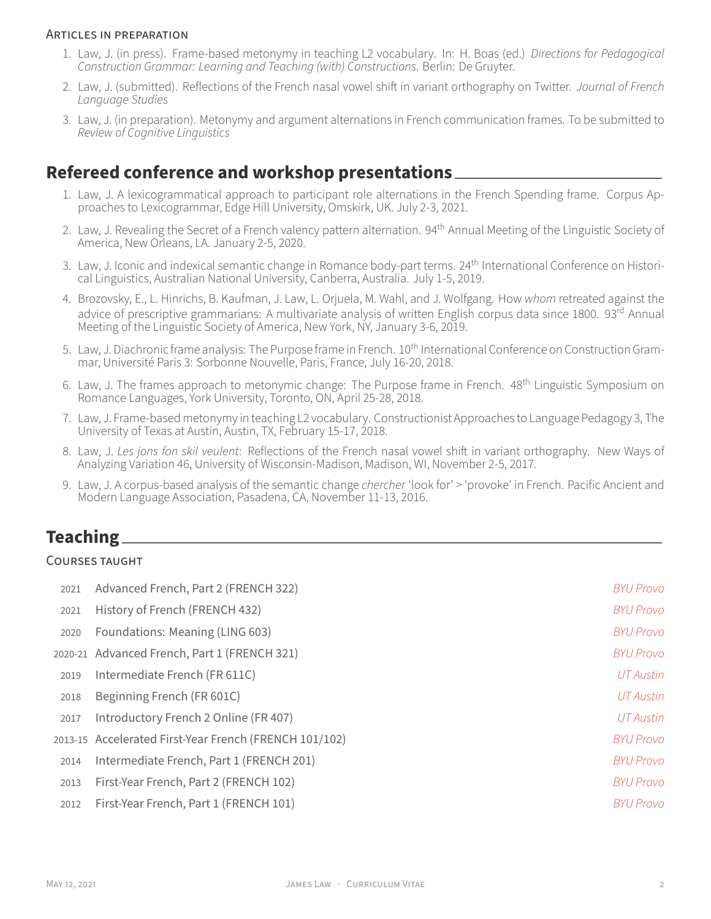#### ARTiCLES iN PREPARATiON

- 1. Law, J. (in press). Frame‑based metonymy in teaching L2 vocabulary. In: H. Boas (ed.) *Directions for Pedagogical Construction Grammar: Learning and Teaching (with) Constructions*. Berlin: De Gruyter.
- 2. Law, J. (submitted). Reflections of the French nasal vowel shift in variant orthography on Twitter. *Journal of French Language Studies*
- 3. Law, J. (in preparation). Metonymy and argument alternations in French communication frames. To be submitted to *Review of Cognitive Linguistics*

### **Refereed conference and workshop presentations**

- 1. Law, J. A lexicogrammatical approach to participant role alternations in the French Spending frame. Corpus Approaches to Lexicogrammar, Edge Hill University, Omskirk, UK. July 2‑3, 2021.
- 2. Law, J. Revealing the Secret of a French valency pattern alternation. 94<sup>th</sup> Annual Meeting of the Linguistic Society of America, New Orleans, LA. January 2‑5, 2020.
- 3. Law, J. Iconic and indexical semantic change in Romance body-part terms. 24<sup>th</sup> International Conference on Historical Linguistics, Australian National University, Canberra, Australia. July 1‑5, 2019.
- 4. Brozovsky, E., L. Hinrichs, B. Kaufman, J. Law, L. Orjuela, M. Wahl, and J. Wolfgang. How *whom* retreated against the advice of prescriptive grammarians: A multivariate analysis of written English corpus data since 1800. 93<sup>rd</sup> Annual Meeting of the Linguistic Society of America, New York, NY, January 3-6, 2019.
- 5. Law, J. Diachronic frame analysis: The Purpose frame in French. 10<sup>th</sup> International Conference on Construction Grammar, Université Paris 3: Sorbonne Nouvelle, Paris, France, July 16‑20, 2018.
- 6. Law, J. The frames approach to metonymic change: The Purpose frame in French. 48th Linguistic Symposium on Romance Languages, York University, Toronto, ON, April 25-28, 2018.
- 7. Law, J. Frame-based metonymy in teaching L2 vocabulary. Constructionist Approaches to Language Pedagogy 3, The University of Texas at Austin, Austin, TX, February 15‑17, 2018.
- 8. Law, J. *Les jons fon skil veulent*: Reflections of the French nasal vowel shift in variant orthography. New Ways of Analyzing Variation 46, University of Wisconsin‑Madison, Madison, WI, November 2‑5, 2017.
- 9. Law, J. A corpus‑based analysis of the semantic change *chercher* 'look for' > 'provoke' in French. Pacific Ancient and Modern Language Association, Pasadena, CA, November 11‑13, 2016.

## **Teaching**

#### COURSES TAUGHT

| 2021 | Advanced French, Part 2 (FRENCH 322)                   | <b>BYU Provo</b> |
|------|--------------------------------------------------------|------------------|
| 2021 | History of French (FRENCH 432)                         | <b>BYU Provo</b> |
| 2020 | Foundations: Meaning (LING 603)                        | <b>BYU Provo</b> |
|      | 2020-21 Advanced French, Part 1 (FRENCH 321)           | <b>BYU Provo</b> |
| 2019 | Intermediate French (FR 611C)                          | UT Austin        |
| 2018 | Beginning French (FR 601C)                             | UT Austin        |
| 2017 | Introductory French 2 Online (FR 407)                  | UT Austin        |
|      | 2013-15 Accelerated First-Year French (FRENCH 101/102) | <b>BYU Provo</b> |
| 2014 | Intermediate French, Part 1 (FRENCH 201)               | <b>BYU Provo</b> |
| 2013 | First-Year French, Part 2 (FRENCH 102)                 | <b>BYU Provo</b> |
| 2012 | First-Year French, Part 1 (FRENCH 101)                 | <b>BYU Provo</b> |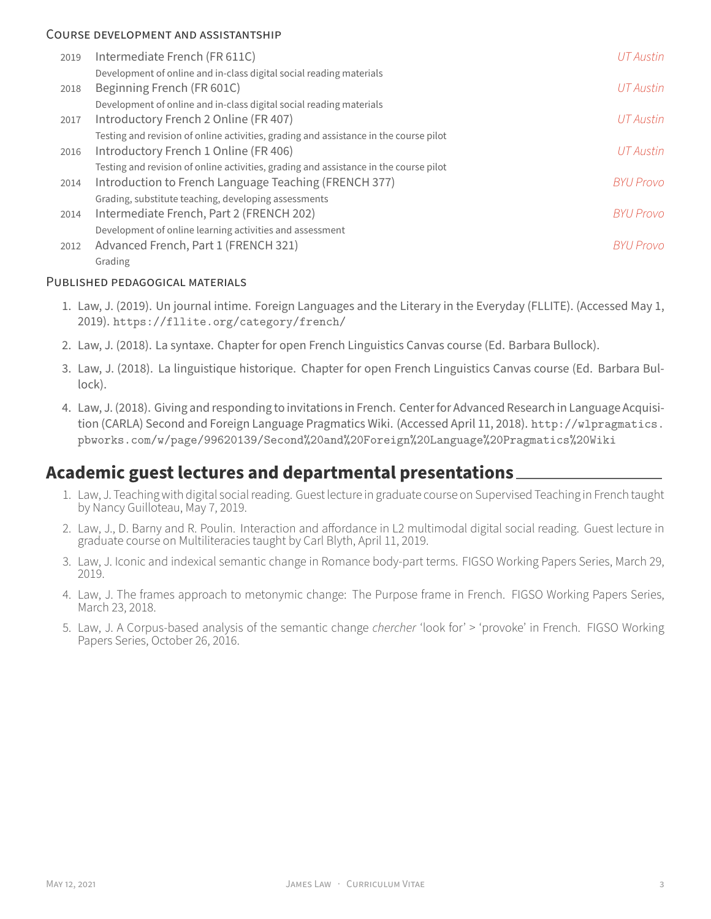#### COURSE DEVELOPMENT AND ASSiSTANTSHiP

| 2019 | Intermediate French (FR 611C)                                                         | <b>UT</b> Austin |
|------|---------------------------------------------------------------------------------------|------------------|
|      | Development of online and in-class digital social reading materials                   |                  |
| 2018 | Beginning French (FR 601C)                                                            | <b>UT</b> Austin |
|      | Development of online and in-class digital social reading materials                   |                  |
| 2017 | Introductory French 2 Online (FR 407)                                                 | UT Austin        |
|      | Testing and revision of online activities, grading and assistance in the course pilot |                  |
| 2016 | Introductory French 1 Online (FR 406)                                                 | <b>UT</b> Austin |
|      | Testing and revision of online activities, grading and assistance in the course pilot |                  |
| 2014 | Introduction to French Language Teaching (FRENCH 377)                                 | <b>BYU Provo</b> |
|      | Grading, substitute teaching, developing assessments                                  |                  |
| 2014 | Intermediate French, Part 2 (FRENCH 202)                                              | <b>BYU Provo</b> |
|      | Development of online learning activities and assessment                              |                  |
| 2012 | Advanced French, Part 1 (FRENCH 321)                                                  | <b>BYU Provo</b> |
|      | Grading                                                                               |                  |

#### PUBLiSHED PEDAGOGiCAL MATERiALS

- 1. Law, J. (2019). Un journal intime. Foreign Languages and the Literary in the Everyday (FLLITE). (Accessed May 1, 2019). <https://fllite.org/category/french/>
- 2. Law, J. (2018). La syntaxe. Chapter for open French Linguistics Canvas course (Ed. Barbara Bullock).
- 3. Law, J. (2018). La linguistique historique. Chapter for open French Linguistics Canvas course (Ed. Barbara Bul‑ lock).
- 4. Law, J. (2018). Giving and responding to invitations in French. Center for Advanced Research in Language Acquisition (CARLA) Second and Foreign Language Pragmatics Wiki. (Accessed April 11, 2018). [http://wlpragmatics.](http://wlpragmatics.pbworks.com/w/page/99620139/Second%20and%20Foreign%20Language%20Pragmatics%20Wiki) [pbworks.com/w/page/99620139/Second%20and%20Foreign%20Language%20Pragmatics%20Wiki](http://wlpragmatics.pbworks.com/w/page/99620139/Second%20and%20Foreign%20Language%20Pragmatics%20Wiki)

## **Academic guest lectures and departmental presentations**

- 1. Law, J. Teaching with digital social reading. Guest lecture in graduate course on Supervised Teaching in French taught by Nancy Guilloteau, May 7, 2019.
- 2. Law, J., D. Barny and R. Poulin. Interaction and affordance in L2 multimodal digital social reading. Guest lecture in graduate course on Multiliteracies taught by Carl Blyth, April 11, 2019.
- 3. Law, J. Iconic and indexical semantic change in Romance body‑part terms. FIGSO Working Papers Series, March 29, 2019.
- 4. Law, J. The frames approach to metonymic change: The Purpose frame in French. FIGSO Working Papers Series, March 23, 2018.
- 5. Law, J. A Corpus‑based analysis of the semantic change *chercher* 'look for' > 'provoke' in French. FIGSO Working Papers Series, October 26, 2016.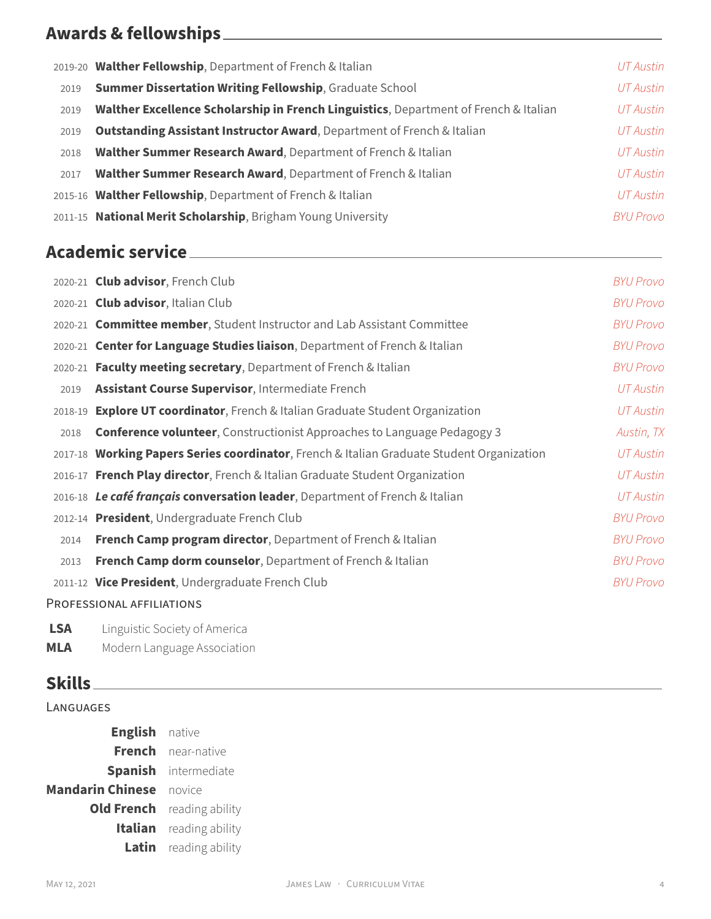# **Awards & fellowships**

|      | 2019-20 Walther Fellowship, Department of French & Italian                           | UT Austin        |
|------|--------------------------------------------------------------------------------------|------------------|
| 2019 | <b>Summer Dissertation Writing Fellowship, Graduate School</b>                       | UT Austin        |
| 2019 | Walther Excellence Scholarship in French Linguistics, Department of French & Italian | UT Austin        |
| 2019 | <b>Outstanding Assistant Instructor Award, Department of French &amp; Italian</b>    | UT Austin        |
| 2018 | Walther Summer Research Award, Department of French & Italian                        | UT Austin        |
| 2017 | Walther Summer Research Award, Department of French & Italian                        | UT Austin        |
|      | 2015-16 Walther Fellowship, Department of French & Italian                           | UT Austin        |
|      | 2011-15 National Merit Scholarship, Brigham Young University                         | <b>BYU Provo</b> |

# **Academic service**

|         | 2020-21 Club advisor, French Club                                                         | <b>BYU Provo</b> |
|---------|-------------------------------------------------------------------------------------------|------------------|
|         | 2020-21 Club advisor, Italian Club                                                        | <b>BYU Provo</b> |
|         | 2020-21 Committee member, Student Instructor and Lab Assistant Committee                  | <b>BYU Provo</b> |
|         | 2020-21 Center for Language Studies liaison, Department of French & Italian               | <b>BYU Provo</b> |
|         | 2020-21 Faculty meeting secretary, Department of French & Italian                         | <b>BYU Provo</b> |
| 2019    | Assistant Course Supervisor, Intermediate French                                          | UT Austin        |
| 2018-19 | <b>Explore UT coordinator</b> , French & Italian Graduate Student Organization            | <b>UT Austin</b> |
| 2018    | <b>Conference volunteer</b> , Constructionist Approaches to Language Pedagogy 3           | Austin, TX       |
|         | 2017-18 Working Papers Series coordinator, French & Italian Graduate Student Organization | UT Austin        |
|         | 2016-17 French Play director, French & Italian Graduate Student Organization              | UT Austin        |
|         | 2016-18 Lecafé français conversation leader, Department of French & Italian               | <b>UT Austin</b> |
|         | 2012-14 President, Undergraduate French Club                                              | <b>BYU Provo</b> |
| 2014    | French Camp program director, Department of French & Italian                              | <b>BYU Provo</b> |
| 2013    | French Camp dorm counselor, Department of French & Italian                                | <b>BYU Provo</b> |
|         | 2011-12 Vice President, Undergraduate French Club                                         | <b>BYU Provo</b> |
|         | PROFESSIONAL AFFILIATIONS                                                                 |                  |

| Linguistic Society of America |
|-------------------------------|
|                               |

**MLA** Modern Language Association

## **Skills**

### LANGUAGES

| <b>English</b> native          |                                   |
|--------------------------------|-----------------------------------|
|                                | French near-native                |
|                                | <b>Spanish</b> intermediate       |
| <b>Mandarin Chinese</b> novice |                                   |
|                                | <b>Old French</b> reading ability |
|                                | <b>Italian</b> reading ability    |
|                                | <b>Latin</b> reading ability      |